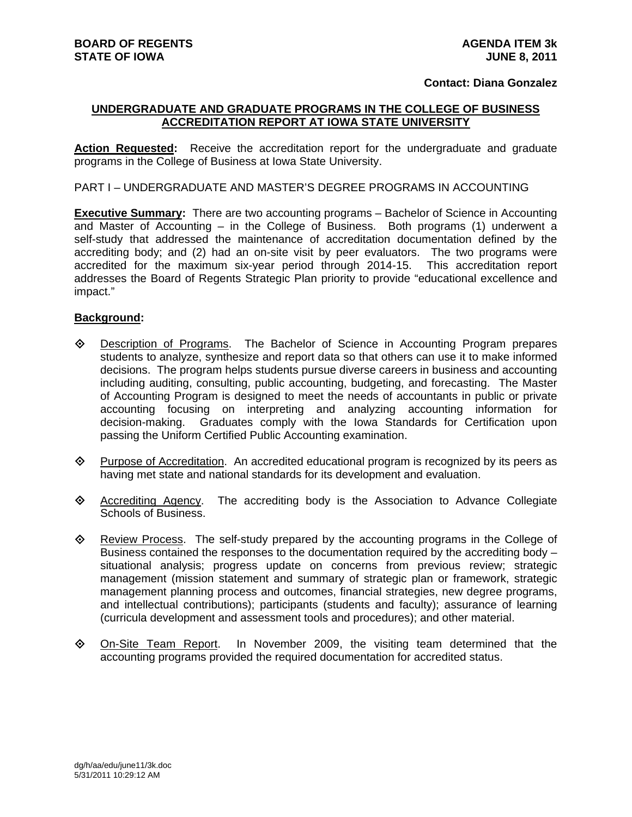#### **Contact: Diana Gonzalez**

# **UNDERGRADUATE AND GRADUATE PROGRAMS IN THE COLLEGE OF BUSINESS ACCREDITATION REPORT AT IOWA STATE UNIVERSITY**

**Action Requested:** Receive the accreditation report for the undergraduate and graduate programs in the College of Business at Iowa State University.

## PART I – UNDERGRADUATE AND MASTER'S DEGREE PROGRAMS IN ACCOUNTING

**Executive Summary:** There are two accounting programs – Bachelor of Science in Accounting and Master of Accounting – in the College of Business. Both programs (1) underwent a self-study that addressed the maintenance of accreditation documentation defined by the accrediting body; and (2) had an on-site visit by peer evaluators. The two programs were accredited for the maximum six-year period through 2014-15. This accreditation report addresses the Board of Regents Strategic Plan priority to provide "educational excellence and impact."

#### **Background:**

- Description of Programs. The Bachelor of Science in Accounting Program prepares students to analyze, synthesize and report data so that others can use it to make informed decisions. The program helps students pursue diverse careers in business and accounting including auditing, consulting, public accounting, budgeting, and forecasting. The Master of Accounting Program is designed to meet the needs of accountants in public or private accounting focusing on interpreting and analyzing accounting information for decision-making. Graduates comply with the Iowa Standards for Certification upon passing the Uniform Certified Public Accounting examination.
- $\Diamond$  Purpose of Accreditation. An accredited educational program is recognized by its peers as having met state and national standards for its development and evaluation.
- $\Diamond$  Accrediting Agency. The accrediting body is the Association to Advance Collegiate Schools of Business.
- Review Process. The self-study prepared by the accounting programs in the College of Business contained the responses to the documentation required by the accrediting body – situational analysis; progress update on concerns from previous review; strategic management (mission statement and summary of strategic plan or framework, strategic management planning process and outcomes, financial strategies, new degree programs, and intellectual contributions); participants (students and faculty); assurance of learning (curricula development and assessment tools and procedures); and other material.
- $\diamond$  On-Site Team Report. In November 2009, the visiting team determined that the accounting programs provided the required documentation for accredited status.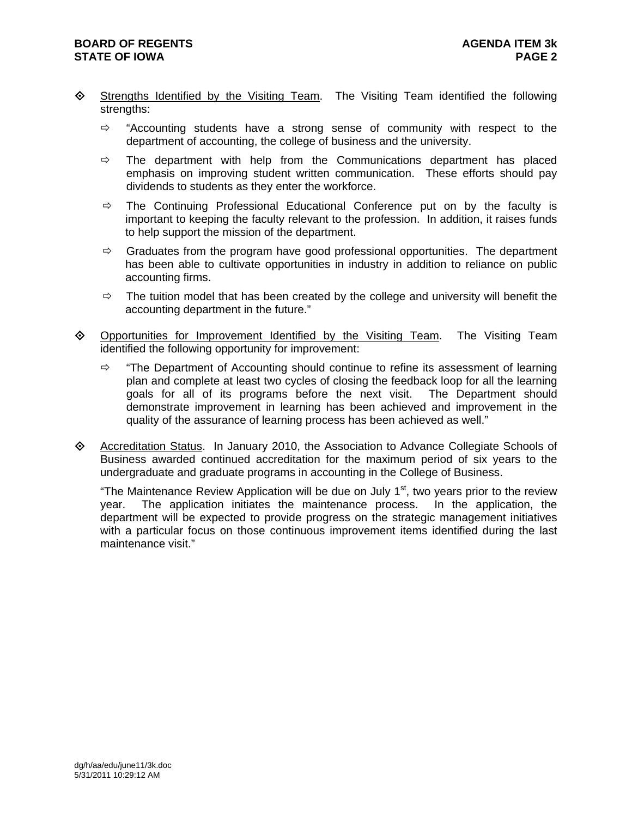- ♦ Strengths Identified by the Visiting Team. The Visiting Team identified the following strengths:
	- $\Rightarrow$  "Accounting students have a strong sense of community with respect to the department of accounting, the college of business and the university.
	- $\Rightarrow$  The department with help from the Communications department has placed emphasis on improving student written communication. These efforts should pay dividends to students as they enter the workforce.
	- $\Rightarrow$  The Continuing Professional Educational Conference put on by the faculty is important to keeping the faculty relevant to the profession. In addition, it raises funds to help support the mission of the department.
	- $\Rightarrow$  Graduates from the program have good professional opportunities. The department has been able to cultivate opportunities in industry in addition to reliance on public accounting firms.
	- $\Rightarrow$  The tuition model that has been created by the college and university will benefit the accounting department in the future."
- $\diamond$  Opportunities for Improvement Identified by the Visiting Team. The Visiting Team identified the following opportunity for improvement:
	- $\Rightarrow$  "The Department of Accounting should continue to refine its assessment of learning plan and complete at least two cycles of closing the feedback loop for all the learning goals for all of its programs before the next visit. The Department should demonstrate improvement in learning has been achieved and improvement in the quality of the assurance of learning process has been achieved as well."
- Accreditation Status. In January 2010, the Association to Advance Collegiate Schools of Business awarded continued accreditation for the maximum period of six years to the undergraduate and graduate programs in accounting in the College of Business.

"The Maintenance Review Application will be due on July  $1<sup>st</sup>$ , two years prior to the review year. The application initiates the maintenance process. In the application, the department will be expected to provide progress on the strategic management initiatives with a particular focus on those continuous improvement items identified during the last maintenance visit."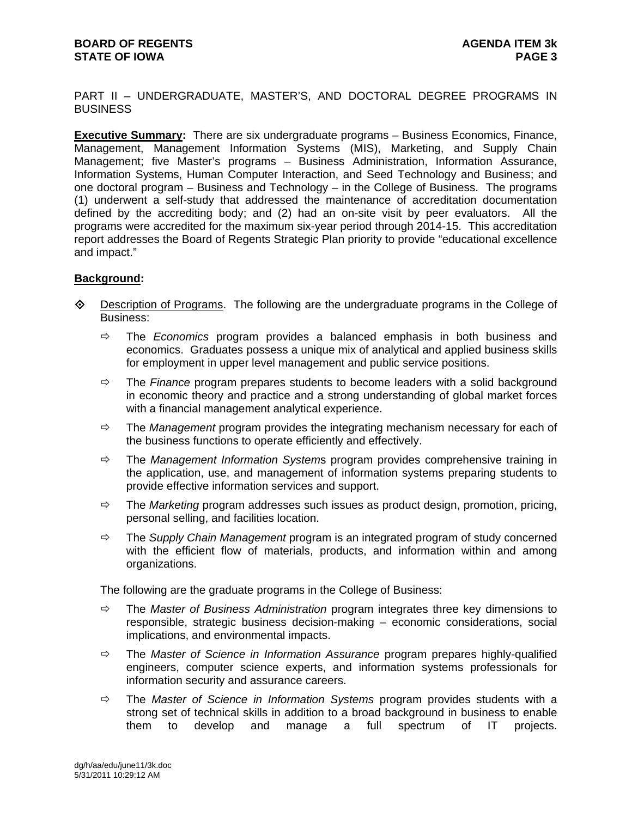PART II – UNDERGRADUATE, MASTER'S, AND DOCTORAL DEGREE PROGRAMS IN **BUSINESS** 

**Executive Summary:** There are six undergraduate programs – Business Economics, Finance, Management, Management Information Systems (MIS), Marketing, and Supply Chain Management; five Master's programs – Business Administration, Information Assurance, Information Systems, Human Computer Interaction, and Seed Technology and Business; and one doctoral program – Business and Technology – in the College of Business. The programs (1) underwent a self-study that addressed the maintenance of accreditation documentation defined by the accrediting body; and (2) had an on-site visit by peer evaluators. All the programs were accredited for the maximum six-year period through 2014-15. This accreditation report addresses the Board of Regents Strategic Plan priority to provide "educational excellence and impact."

# **Background:**

- $\Diamond$  Description of Programs. The following are the undergraduate programs in the College of Business:
	- $\Rightarrow$  The *Economics* program provides a balanced emphasis in both business and economics. Graduates possess a unique mix of analytical and applied business skills for employment in upper level management and public service positions.
	- The *Finance* program prepares students to become leaders with a solid background in economic theory and practice and a strong understanding of global market forces with a financial management analytical experience.
	- $\Rightarrow$  The *Management* program provides the integrating mechanism necessary for each of the business functions to operate efficiently and effectively.
	- The *Management Information System*s program provides comprehensive training in the application, use, and management of information systems preparing students to provide effective information services and support.
	- The *Marketing* program addresses such issues as product design, promotion, pricing, personal selling, and facilities location.
	- The *Supply Chain Management* program is an integrated program of study concerned with the efficient flow of materials, products, and information within and among organizations.

The following are the graduate programs in the College of Business:

- The *Master of Business Administration* program integrates three key dimensions to responsible, strategic business decision-making – economic considerations, social implications, and environmental impacts.
- The *Master of Science in Information Assurance* program prepares highly-qualified engineers, computer science experts, and information systems professionals for information security and assurance careers.
- The *Master of Science in Information Systems* program provides students with a strong set of technical skills in addition to a broad background in business to enable them to develop and manage a full spectrum of IT projects.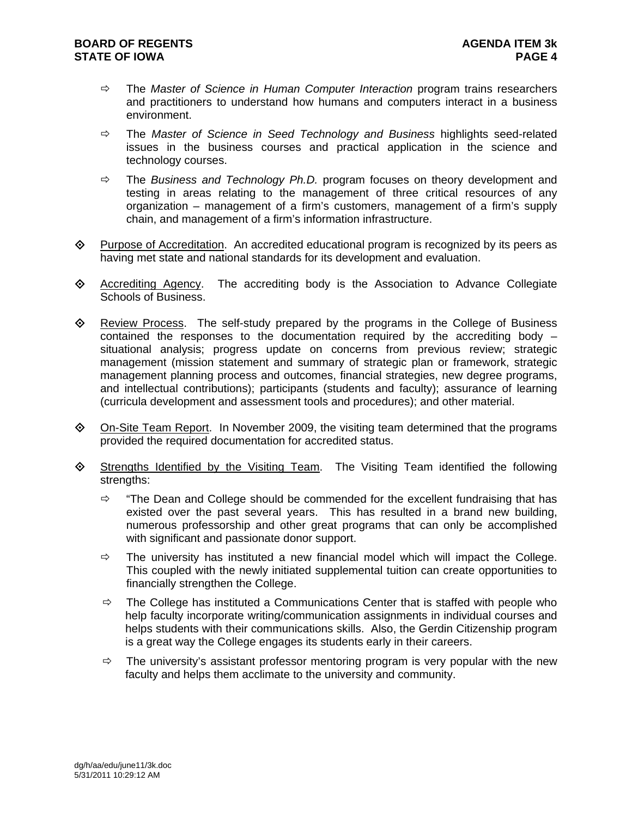- The *Master of Science in Human Computer Interaction* program trains researchers and practitioners to understand how humans and computers interact in a business environment.
- The *Master of Science in Seed Technology and Business* highlights seed-related issues in the business courses and practical application in the science and technology courses.
- $\Rightarrow$  The *Business and Technology Ph.D.* program focuses on theory development and testing in areas relating to the management of three critical resources of any organization – management of a firm's customers, management of a firm's supply chain, and management of a firm's information infrastructure.
- Purpose of Accreditation. An accredited educational program is recognized by its peers as having met state and national standards for its development and evaluation.
- Accrediting Agency. The accrediting body is the Association to Advance Collegiate Schools of Business.
- $\Diamond$  Review Process. The self-study prepared by the programs in the College of Business contained the responses to the documentation required by the accrediting body – situational analysis; progress update on concerns from previous review; strategic management (mission statement and summary of strategic plan or framework, strategic management planning process and outcomes, financial strategies, new degree programs, and intellectual contributions); participants (students and faculty); assurance of learning (curricula development and assessment tools and procedures); and other material.
- $\Diamond$  On-Site Team Report. In November 2009, the visiting team determined that the programs provided the required documentation for accredited status.
- $\Diamond$  Strengths Identified by the Visiting Team. The Visiting Team identified the following strengths:
	- $\Rightarrow$  "The Dean and College should be commended for the excellent fundraising that has existed over the past several years. This has resulted in a brand new building, numerous professorship and other great programs that can only be accomplished with significant and passionate donor support.
	- $\Rightarrow$  The university has instituted a new financial model which will impact the College. This coupled with the newly initiated supplemental tuition can create opportunities to financially strengthen the College.
	- $\Rightarrow$  The College has instituted a Communications Center that is staffed with people who help faculty incorporate writing/communication assignments in individual courses and helps students with their communications skills. Also, the Gerdin Citizenship program is a great way the College engages its students early in their careers.
	- $\Rightarrow$  The university's assistant professor mentoring program is very popular with the new faculty and helps them acclimate to the university and community.